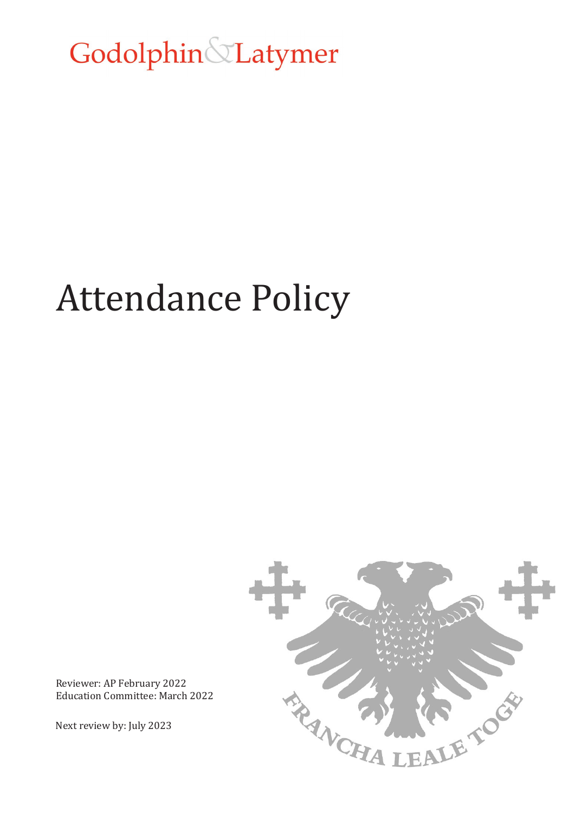Godolphin&Latymer

# Attendance Policy



Reviewer: AP February 2022 Education Committee: March 2022

Next review by: July 2023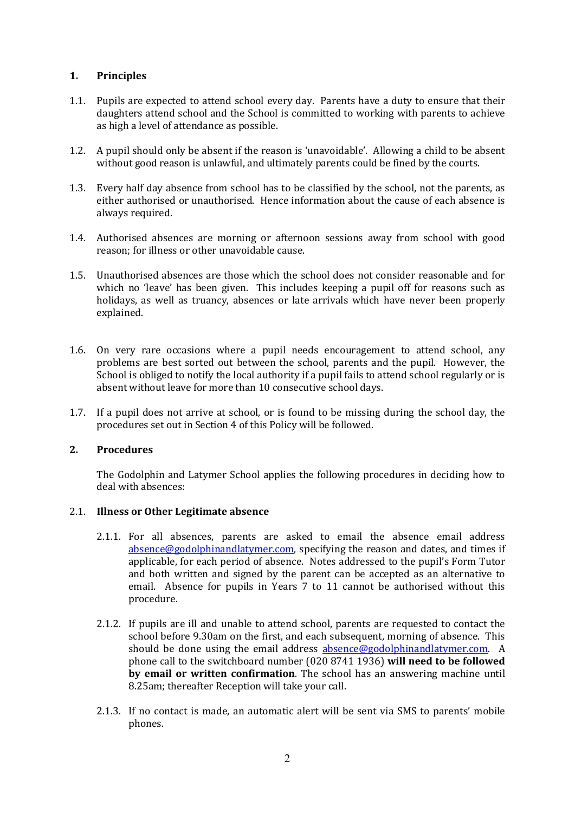# **1. Principles**

- 1.1. Pupils are expected to attend school every day. Parents have a duty to ensure that their daughters attend school and the School is committed to working with parents to achieve as high a level of attendance as possible.
- 1.2. A pupil should only be absent if the reason is 'unavoidable'. Allowing a child to be absent without good reason is unlawful, and ultimately parents could be fined by the courts.
- 1.3. Every half day absence from school has to be classified by the school, not the parents, as either authorised or unauthorised. Hence information about the cause of each absence is always required.
- 1.4. Authorised absences are morning or afternoon sessions away from school with good reason; for illness or other unavoidable cause.
- 1.5. Unauthorised absences are those which the school does not consider reasonable and for which no 'leave' has been given. This includes keeping a pupil off for reasons such as holidays, as well as truancy, absences or late arrivals which have never been properly explained.
- 1.6. On very rare occasions where a pupil needs encouragement to attend school, any problems are best sorted out between the school, parents and the pupil. However, the School is obliged to notify the local authority if a pupil fails to attend school regularly or is absent without leave for more than 10 consecutive school days.
- 1.7. If a pupil does not arrive at school, or is found to be missing during the school day, the procedures set out in Section 4 of this Policy will be followed.

### **2. Procedures**

The Godolphin and Latymer School applies the following procedures in deciding how to deal with absences:

### 2.1. **Illness or Other Legitimate absence**

- 2.1.1. For all absences, parents are asked to email the absence email address [absence@godolphinandlatymer.com,](mailto:absence@godolphinandlatymer.com) specifying the reason and dates, and times if applicable, for each period of absence. Notes addressed to the pupil's Form Tutor and both written and signed by the parent can be accepted as an alternative to email. Absence for pupils in Years 7 to 11 cannot be authorised without this procedure.
- 2.1.2. If pupils are ill and unable to attend school, parents are requested to contact the school before 9.30am on the first, and each subsequent, morning of absence. This should be done using the email address [absence@godolphinandlatymer.com.](mailto:absence@godolphinandlatymer.com) A phone call to the switchboard number (020 8741 1936) **will need to be followed by email or written confirmation**. The school has an answering machine until 8.25am; thereafter Reception will take your call.
- 2.1.3. If no contact is made, an automatic alert will be sent via SMS to parents' mobile phones.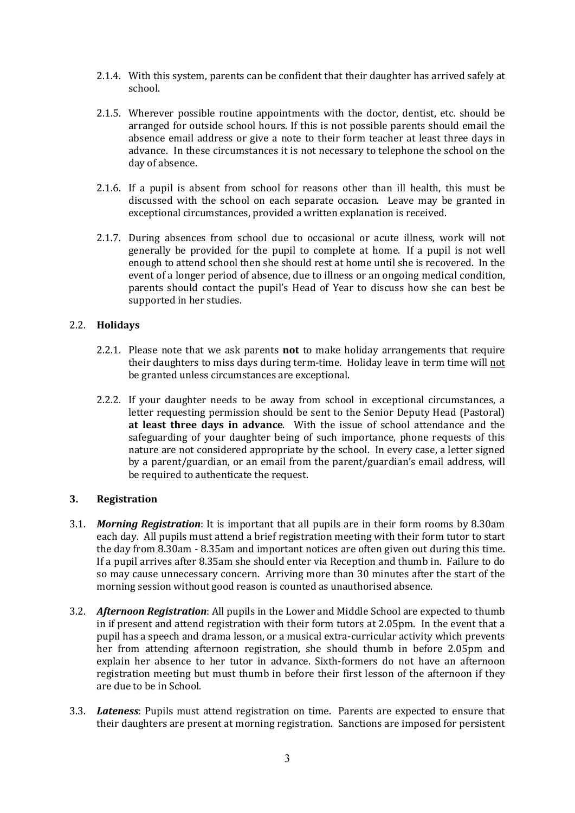- 2.1.4. With this system, parents can be confident that their daughter has arrived safely at school.
- 2.1.5. Wherever possible routine appointments with the doctor, dentist, etc. should be arranged for outside school hours. If this is not possible parents should email the absence email address or give a note to their form teacher at least three days in advance. In these circumstances it is not necessary to telephone the school on the day of absence.
- 2.1.6. If a pupil is absent from school for reasons other than ill health, this must be discussed with the school on each separate occasion. Leave may be granted in exceptional circumstances, provided a written explanation is received.
- 2.1.7. During absences from school due to occasional or acute illness, work will not generally be provided for the pupil to complete at home. If a pupil is not well enough to attend school then she should rest at home until she is recovered. In the event of a longer period of absence, due to illness or an ongoing medical condition, parents should contact the pupil's Head of Year to discuss how she can best be supported in her studies.

### 2.2. **Holidays**

- 2.2.1. Please note that we ask parents **not** to make holiday arrangements that require their daughters to miss days during term-time. Holiday leave in term time will not be granted unless circumstances are exceptional.
- 2.2.2. If your daughter needs to be away from school in exceptional circumstances, a letter requesting permission should be sent to the Senior Deputy Head (Pastoral) **at least three days in advance**. With the issue of school attendance and the safeguarding of your daughter being of such importance, phone requests of this nature are not considered appropriate by the school. In every case, a letter signed by a parent/guardian, or an email from the parent/guardian's email address, will be required to authenticate the request.

### **3. Registration**

- 3.1. *Morning Registration*: It is important that all pupils are in their form rooms by 8.30am each day. All pupils must attend a brief registration meeting with their form tutor to start the day from 8.30am - 8.35am and important notices are often given out during this time. If a pupil arrives after 8.35am she should enter via Reception and thumb in. Failure to do so may cause unnecessary concern. Arriving more than 30 minutes after the start of the morning session without good reason is counted as unauthorised absence.
- 3.2. *Afternoon Registration*: All pupils in the Lower and Middle School are expected to thumb in if present and attend registration with their form tutors at 2.05pm. In the event that a pupil has a speech and drama lesson, or a musical extra-curricular activity which prevents her from attending afternoon registration, she should thumb in before 2.05pm and explain her absence to her tutor in advance. Sixth-formers do not have an afternoon registration meeting but must thumb in before their first lesson of the afternoon if they are due to be in School.
- 3.3. *Lateness*: Pupils must attend registration on time. Parents are expected to ensure that their daughters are present at morning registration. Sanctions are imposed for persistent